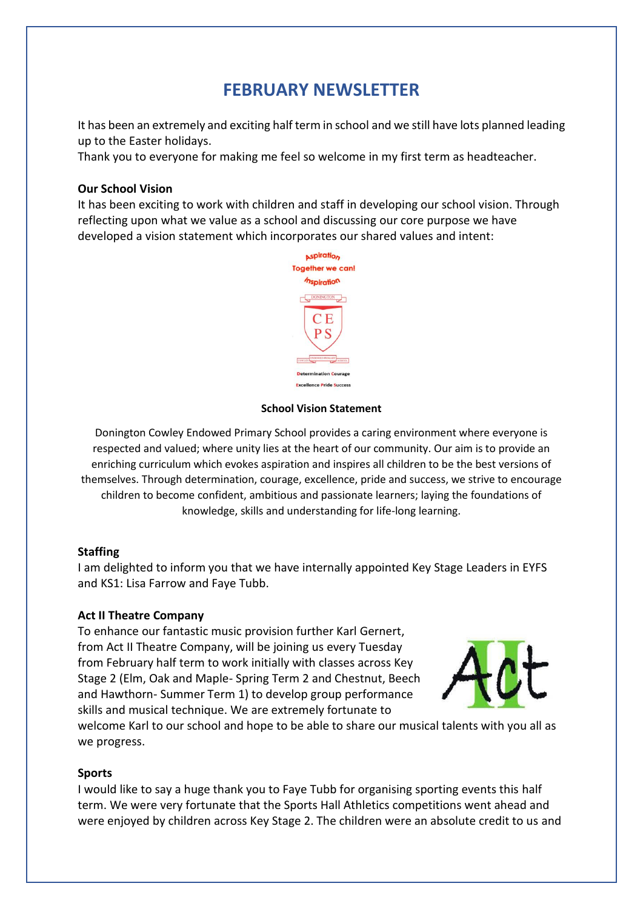# **FEBRUARY NEWSLETTER**

It has been an extremely and exciting half term in school and we still have lots planned leading up to the Easter holidays.

Thank you to everyone for making me feel so welcome in my first term as headteacher.

### **Our School Vision**

It has been exciting to work with children and staff in developing our school vision. Through reflecting upon what we value as a school and discussing our core purpose we have developed a vision statement which incorporates our shared values and intent:



#### **School Vision Statement**

Donington Cowley Endowed Primary School provides a caring environment where everyone is respected and valued; where unity lies at the heart of our community. Our aim is to provide an enriching curriculum which evokes aspiration and inspires all children to be the best versions of themselves. Through determination, courage, excellence, pride and success, we strive to encourage children to become confident, ambitious and passionate learners; laying the foundations of knowledge, skills and understanding for life-long learning.

### **Staffing**

I am delighted to inform you that we have internally appointed Key Stage Leaders in EYFS and KS1: Lisa Farrow and Faye Tubb.

### **Act II Theatre Company**

To enhance our fantastic music provision further Karl Gernert, from Act II Theatre Company, will be joining us every Tuesday from February half term to work initially with classes across Key Stage 2 (Elm, Oak and Maple- Spring Term 2 and Chestnut, Beech and Hawthorn- Summer Term 1) to develop group performance skills and musical technique. We are extremely fortunate to



welcome Karl to our school and hope to be able to share our musical talents with you all as we progress.

### **Sports**

I would like to say a huge thank you to Faye Tubb for organising sporting events this half term. We were very fortunate that the Sports Hall Athletics competitions went ahead and were enjoyed by children across Key Stage 2. The children were an absolute credit to us and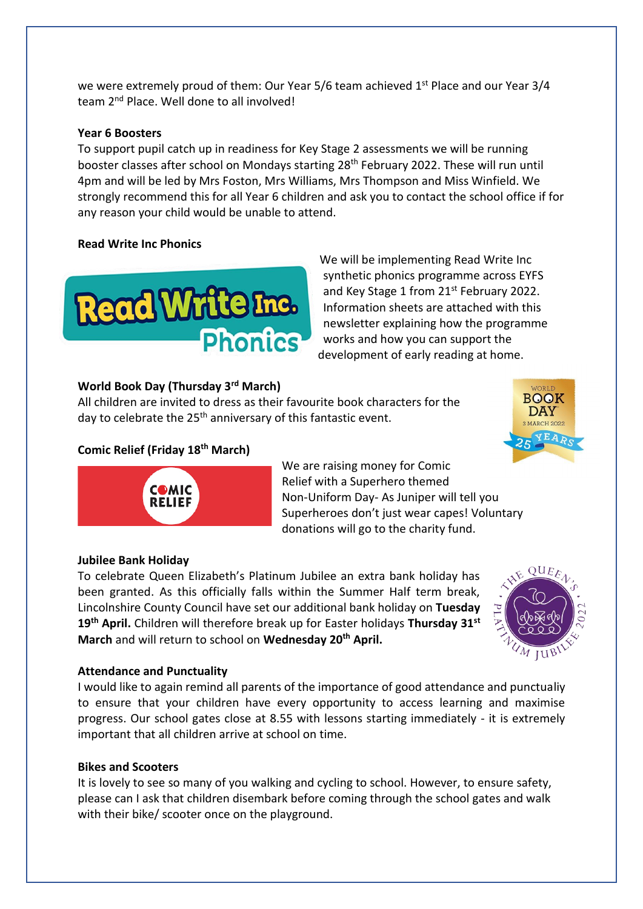we were extremely proud of them: Our Year 5/6 team achieved 1<sup>st</sup> Place and our Year 3/4 team 2<sup>nd</sup> Place. Well done to all involved!

### **Year 6 Boosters**

To support pupil catch up in readiness for Key Stage 2 assessments we will be running booster classes after school on Mondays starting 28th February 2022. These will run until 4pm and will be led by Mrs Foston, Mrs Williams, Mrs Thompson and Miss Winfield. We strongly recommend this for all Year 6 children and ask you to contact the school office if for any reason your child would be unable to attend.

# **Read Write Inc Phonics**



We will be implementing Read Write Inc synthetic phonics programme across EYFS and Key Stage 1 from 21<sup>st</sup> February 2022. Information sheets are attached with this newsletter explaining how the programme works and how you can support the development of early reading at home.

# **World Book Day (Thursday 3rd March)**

All children are invited to dress as their favourite book characters for the day to celebrate the 25<sup>th</sup> anniversary of this fantastic event.

# **Comic Relief (Friday 18th March)**





Relief with a Superhero themed Non-Uniform Day- As Juniper will tell you Superheroes don't just wear capes! Voluntary donations will go to the charity fund.

We are raising money for Comic

# **Jubilee Bank Holiday**

To celebrate Queen Elizabeth's Platinum Jubilee an extra bank holiday has been granted. As this officially falls within the Summer Half term break, Lincolnshire County Council have set our additional bank holiday on **Tuesday 19th April.** Children will therefore break up for Easter holidays **Thursday 31st March** and will return to school on **Wednesday 20th April.**



### **Attendance and Punctuality**

I would like to again remind all parents of the importance of good attendance and punctualiy to ensure that your children have every opportunity to access learning and maximise progress. Our school gates close at 8.55 with lessons starting immediately - it is extremely important that all children arrive at school on time.

# **Bikes and Scooters**

It is lovely to see so many of you walking and cycling to school. However, to ensure safety, please can I ask that children disembark before coming through the school gates and walk with their bike/ scooter once on the playground.